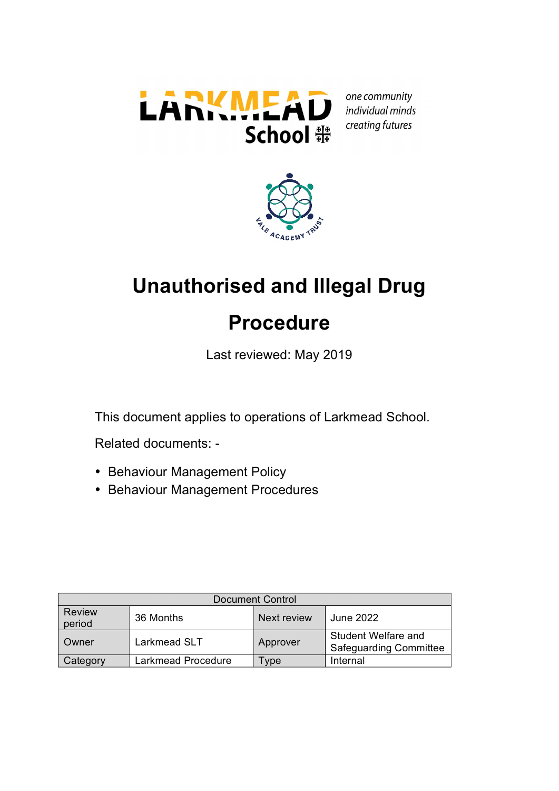

one community individual minds creating futures



# **Unauthorised and Illegal Drug Procedure**

Last reviewed: May 2019

This document applies to operations of Larkmead School.

Related documents: -

- Behaviour Management Policy
- Behaviour Management Procedures

| <b>Document Control</b> |                    |             |                                                      |
|-------------------------|--------------------|-------------|------------------------------------------------------|
| <b>Review</b><br>period | 36 Months          | Next review | June 2022                                            |
| Owner                   | Larkmead SLT       | Approver    | Student Welfare and<br><b>Safeguarding Committee</b> |
| Category                | Larkmead Procedure | -ype        | Internal                                             |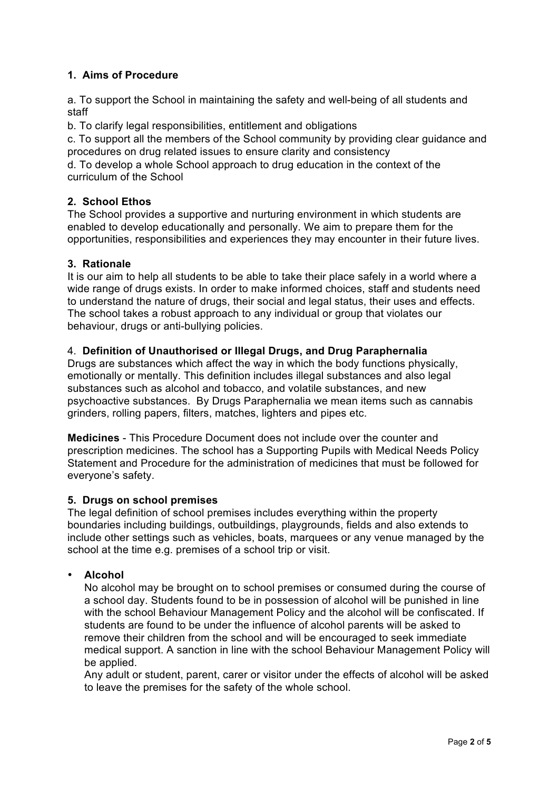# **1. Aims of Procedure**

a. To support the School in maintaining the safety and well-being of all students and staff

b. To clarify legal responsibilities, entitlement and obligations

c. To support all the members of the School community by providing clear guidance and procedures on drug related issues to ensure clarity and consistency

d. To develop a whole School approach to drug education in the context of the curriculum of the School

## **2. School Ethos**

The School provides a supportive and nurturing environment in which students are enabled to develop educationally and personally. We aim to prepare them for the opportunities, responsibilities and experiences they may encounter in their future lives.

## **3. Rationale**

It is our aim to help all students to be able to take their place safely in a world where a wide range of drugs exists. In order to make informed choices, staff and students need to understand the nature of drugs, their social and legal status, their uses and effects. The school takes a robust approach to any individual or group that violates our behaviour, drugs or anti-bullying policies.

## 4. **Definition of Unauthorised or Illegal Drugs, and Drug Paraphernalia**

Drugs are substances which affect the way in which the body functions physically, emotionally or mentally. This definition includes illegal substances and also legal substances such as alcohol and tobacco, and volatile substances, and new psychoactive substances. By Drugs Paraphernalia we mean items such as cannabis grinders, rolling papers, filters, matches, lighters and pipes etc.

**Medicines** - This Procedure Document does not include over the counter and prescription medicines. The school has a Supporting Pupils with Medical Needs Policy Statement and Procedure for the administration of medicines that must be followed for everyone's safety.

#### **5. Drugs on school premises**

The legal definition of school premises includes everything within the property boundaries including buildings, outbuildings, playgrounds, fields and also extends to include other settings such as vehicles, boats, marquees or any venue managed by the school at the time e.g. premises of a school trip or visit.

#### • **Alcohol**

No alcohol may be brought on to school premises or consumed during the course of a school day. Students found to be in possession of alcohol will be punished in line with the school Behaviour Management Policy and the alcohol will be confiscated. If students are found to be under the influence of alcohol parents will be asked to remove their children from the school and will be encouraged to seek immediate medical support. A sanction in line with the school Behaviour Management Policy will be applied.

Any adult or student, parent, carer or visitor under the effects of alcohol will be asked to leave the premises for the safety of the whole school.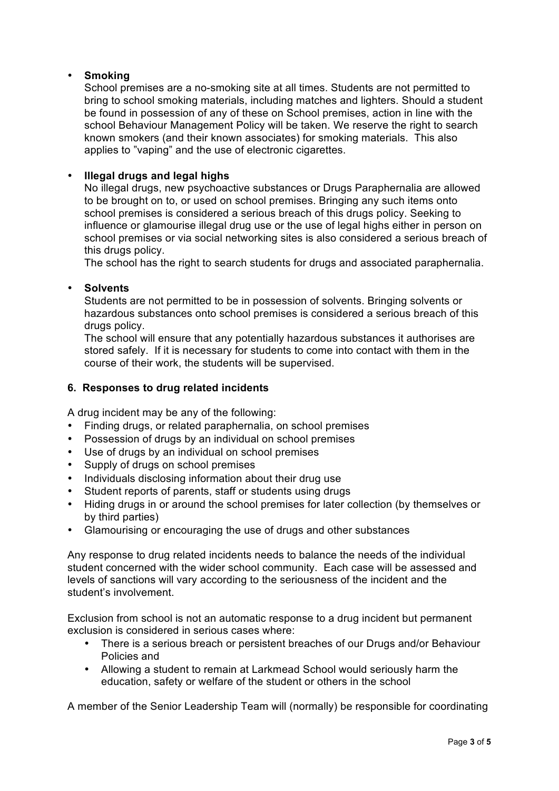## • **Smoking**

School premises are a no-smoking site at all times. Students are not permitted to bring to school smoking materials, including matches and lighters. Should a student be found in possession of any of these on School premises, action in line with the school Behaviour Management Policy will be taken. We reserve the right to search known smokers (and their known associates) for smoking materials. This also applies to "vaping" and the use of electronic cigarettes.

#### • **Illegal drugs and legal highs**

No illegal drugs, new psychoactive substances or Drugs Paraphernalia are allowed to be brought on to, or used on school premises. Bringing any such items onto school premises is considered a serious breach of this drugs policy. Seeking to influence or glamourise illegal drug use or the use of legal highs either in person on school premises or via social networking sites is also considered a serious breach of this drugs policy.

The school has the right to search students for drugs and associated paraphernalia.

#### • **Solvents**

Students are not permitted to be in possession of solvents. Bringing solvents or hazardous substances onto school premises is considered a serious breach of this drugs policy.

The school will ensure that any potentially hazardous substances it authorises are stored safely. If it is necessary for students to come into contact with them in the course of their work, the students will be supervised.

#### **6. Responses to drug related incidents**

A drug incident may be any of the following:

- Finding drugs, or related paraphernalia, on school premises
- Possession of drugs by an individual on school premises
- Use of drugs by an individual on school premises
- Supply of drugs on school premises
- Individuals disclosing information about their drug use
- Student reports of parents, staff or students using drugs
- Hiding drugs in or around the school premises for later collection (by themselves or by third parties)
- Glamourising or encouraging the use of drugs and other substances

Any response to drug related incidents needs to balance the needs of the individual student concerned with the wider school community. Each case will be assessed and levels of sanctions will vary according to the seriousness of the incident and the student's involvement.

Exclusion from school is not an automatic response to a drug incident but permanent exclusion is considered in serious cases where:

- There is a serious breach or persistent breaches of our Drugs and/or Behaviour Policies and
- Allowing a student to remain at Larkmead School would seriously harm the education, safety or welfare of the student or others in the school

A member of the Senior Leadership Team will (normally) be responsible for coordinating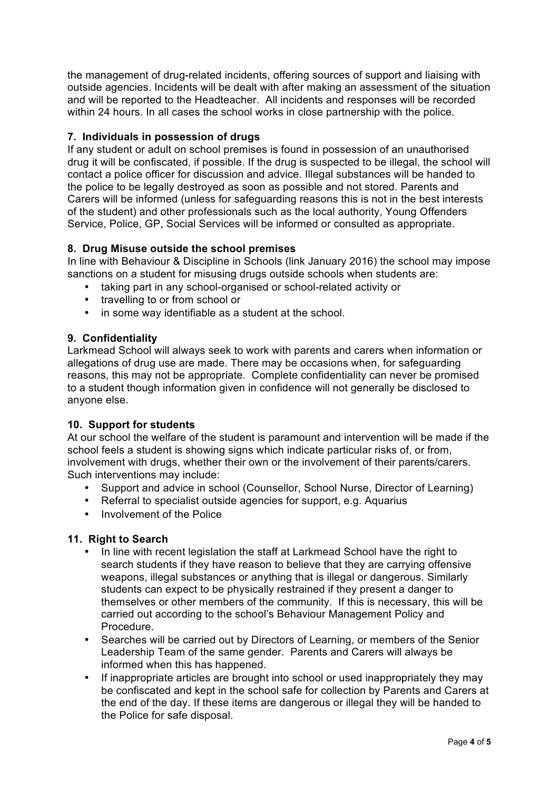the management of drug-related incidents, offering sources of support and liaising with outside agencies. Incidents will be dealt with after making an assessment of the situation and will be reported to the Headteacher. All incidents and responses will be recorded within 24 hours. In all cases the school works in close partnership with the police.

#### **7. Individuals in possession of drugs**

If any student or adult on school premises is found in possession of an unauthorised drug it will be confiscated, if possible. If the drug is suspected to be illegal, the school will contact a police officer for discussion and advice. Illegal substances will be handed to the police to be legally destroyed as soon as possible and not stored. Parents and Carers will be informed (unless for safeguarding reasons this is not in the best interests of the student) and other professionals such as the local authority, Young Offenders Service, Police, GP, Social Services will be informed or consulted as appropriate.

## **8. Drug Misuse outside the school premises**

In line with Behaviour & Discipline in Schools (link January 2016) the school may impose sanctions on a student for misusing drugs outside schools when students are:

- taking part in any school-organised or school-related activity or
- travelling to or from school or
- in some way identifiable as a student at the school.

## **9. Confidentiality**

Larkmead School will always seek to work with parents and carers when information or allegations of drug use are made. There may be occasions when, for safeguarding reasons, this may not be appropriate. Complete confidentiality can never be promised to a student though information given in confidence will not generally be disclosed to anyone else.

#### **10. Support for students**

At our school the welfare of the student is paramount and intervention will be made if the school feels a student is showing signs which indicate particular risks of, or from, involvement with drugs, whether their own or the involvement of their parents/carers. Such interventions may include:

- Support and advice in school (Counsellor, School Nurse, Director of Learning)
- Referral to specialist outside agencies for support, e.g. Aquarius
- Involvement of the Police

#### **11. Right to Search**

- In line with recent legislation the staff at Larkmead School have the right to search students if they have reason to believe that they are carrying offensive weapons, illegal substances or anything that is illegal or dangerous. Similarly students can expect to be physically restrained if they present a danger to themselves or other members of the community. If this is necessary, this will be carried out according to the school's Behaviour Management Policy and Procedure.
- Searches will be carried out by Directors of Learning, or members of the Senior Leadership Team of the same gender. Parents and Carers will always be informed when this has happened.
- If inappropriate articles are brought into school or used inappropriately they may be confiscated and kept in the school safe for collection by Parents and Carers at the end of the day. If these items are dangerous or illegal they will be handed to the Police for safe disposal.